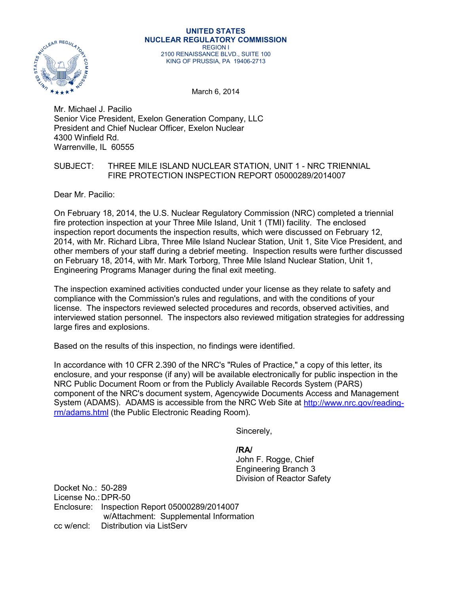

#### **UNITED STATES NUCLEAR REGULATORY COMMISSION** REGION I 2100 RENAISSANCE BLVD., SUITE 100 KING OF PRUSSIA, PA 19406-2713

March 6, 2014

Mr. Michael J. Pacilio Senior Vice President, Exelon Generation Company, LLC President and Chief Nuclear Officer, Exelon Nuclear 4300 Winfield Rd. Warrenville, IL 60555

## SUBJECT: THREE MILE ISLAND NUCLEAR STATION, UNIT 1 - NRC TRIENNIAL FIRE PROTECTION INSPECTION REPORT 05000289/2014007

Dear Mr. Pacilio:

On February 18, 2014, the U.S. Nuclear Regulatory Commission (NRC) completed a triennial fire protection inspection at your Three Mile Island, Unit 1 (TMI) facility. The enclosed inspection report documents the inspection results, which were discussed on February 12, 2014, with Mr. Richard Libra, Three Mile Island Nuclear Station, Unit 1, Site Vice President, and other members of your staff during a debrief meeting. Inspection results were further discussed on February 18, 2014, with Mr. Mark Torborg, Three Mile Island Nuclear Station, Unit 1, Engineering Programs Manager during the final exit meeting.

The inspection examined activities conducted under your license as they relate to safety and compliance with the Commission's rules and regulations, and with the conditions of your license. The inspectors reviewed selected procedures and records, observed activities, and interviewed station personnel. The inspectors also reviewed mitigation strategies for addressing large fires and explosions.

Based on the results of this inspection, no findings were identified.

In accordance with 10 CFR 2.390 of the NRC's "Rules of Practice," a copy of this letter, its enclosure, and your response (if any) will be available electronically for public inspection in the NRC Public Document Room or from the Publicly Available Records System (PARS) component of the NRC's document system, Agencywide Documents Access and Management System (ADAMS). ADAMS is accessible from the NRC Web Site at [http://www.nrc.gov/reading](http://www.nrc.gov/reading-rm/adams.html)[rm/adams.html](http://www.nrc.gov/reading-rm/adams.html) (the Public Electronic Reading Room).

Sincerely,

**/RA/** John F. Rogge, Chief Engineering Branch 3 Division of Reactor Safety

Docket No.: 50-289 License No.: DPR-50 Enclosure: Inspection Report 05000289/2014007 w/Attachment: Supplemental Information cc w/encl: Distribution via ListServ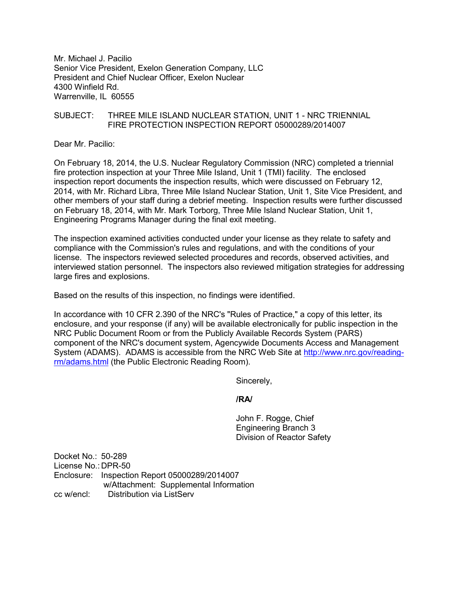Mr. Michael J. Pacilio Senior Vice President, Exelon Generation Company, LLC President and Chief Nuclear Officer, Exelon Nuclear 4300 Winfield Rd. Warrenville, IL 60555

# SUBJECT: THREE MILE ISLAND NUCLEAR STATION, UNIT 1 - NRC TRIENNIAL FIRE PROTECTION INSPECTION REPORT 05000289/2014007

Dear Mr. Pacilio:

On February 18, 2014, the U.S. Nuclear Regulatory Commission (NRC) completed a triennial fire protection inspection at your Three Mile Island, Unit 1 (TMI) facility. The enclosed inspection report documents the inspection results, which were discussed on February 12, 2014, with Mr. Richard Libra, Three Mile Island Nuclear Station, Unit 1, Site Vice President, and other members of your staff during a debrief meeting. Inspection results were further discussed on February 18, 2014, with Mr. Mark Torborg, Three Mile Island Nuclear Station, Unit 1, Engineering Programs Manager during the final exit meeting.

The inspection examined activities conducted under your license as they relate to safety and compliance with the Commission's rules and regulations, and with the conditions of your license. The inspectors reviewed selected procedures and records, observed activities, and interviewed station personnel. The inspectors also reviewed mitigation strategies for addressing large fires and explosions.

Based on the results of this inspection, no findings were identified.

In accordance with 10 CFR 2.390 of the NRC's "Rules of Practice," a copy of this letter, its enclosure, and your response (if any) will be available electronically for public inspection in the NRC Public Document Room or from the Publicly Available Records System (PARS) component of the NRC's document system, Agencywide Documents Access and Management System (ADAMS). ADAMS is accessible from the NRC Web Site at [http://www.nrc.gov/reading](http://www.nrc.gov/reading-rm/adams.html)[rm/adams.html](http://www.nrc.gov/reading-rm/adams.html) (the Public Electronic Reading Room).

Sincerely,

### **/RA/**

John F. Rogge, Chief Engineering Branch 3 Division of Reactor Safety

Docket No.: 50-289 License No.: DPR-50 Enclosure: Inspection Report 05000289/2014007 w/Attachment: Supplemental Information cc w/encl: Distribution via ListServ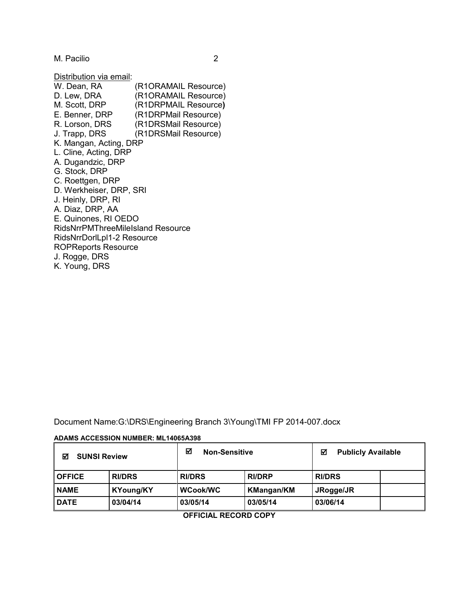M. Pacilio 2

Distribution via email:

| W. Dean, RA                              | (R1ORAMAIL Resource) |
|------------------------------------------|----------------------|
| D. Lew, DRA                              | (R1ORAMAIL Resource) |
| M. Scott, DRP                            | (R1DRPMAIL Resource) |
| E. Benner, DRP                           | (R1DRPMail Resource) |
| R. Lorson, DRS                           | (R1DRSMail Resource) |
| J. Trapp, DRS                            | (R1DRSMail Resource) |
| K. Mangan, Acting, DRP                   |                      |
| L. Cline, Acting, DRP                    |                      |
| A. Dugandzic, DRP                        |                      |
| G. Stock, DRP                            |                      |
| C. Roettgen, DRP                         |                      |
| D. Werkheiser, DRP, SRI                  |                      |
| J. Heinly, DRP, RI                       |                      |
| A. Diaz, DRP, AA                         |                      |
| E. Quinones, RI OEDO                     |                      |
| <b>RidsNrrPMThreeMileIsland Resource</b> |                      |
| RidsNrrDorlLpl1-2 Resource               |                      |
| <b>ROPReports Resource</b>               |                      |
| J. Rogge, DRS                            |                      |
| K. Young, DRS                            |                      |

Document Name:G:\DRS\Engineering Branch 3\Young\TMI FP 2014-007.docx

#### **ADAMS ACCESSION NUMBER: ML14065A398**

| ☑<br><b>SUNSI Review</b> |                  | ☑<br><b>Non-Sensitive</b> |                   | <b>Publicly Available</b><br>☑ |  |
|--------------------------|------------------|---------------------------|-------------------|--------------------------------|--|
| <b>OFFICE</b>            | <b>RI/DRS</b>    | <b>RI/DRS</b>             | <b>RI/DRP</b>     | <b>RI/DRS</b>                  |  |
| <b>NAME</b>              | <b>KYoung/KY</b> | WCook/WC                  | <b>KMangan/KM</b> | JRogge/JR                      |  |
| <b>DATE</b>              | 03/04/14         | 03/05/14                  | 03/05/14          | 03/06/14                       |  |

**OFFICIAL RECORD COPY**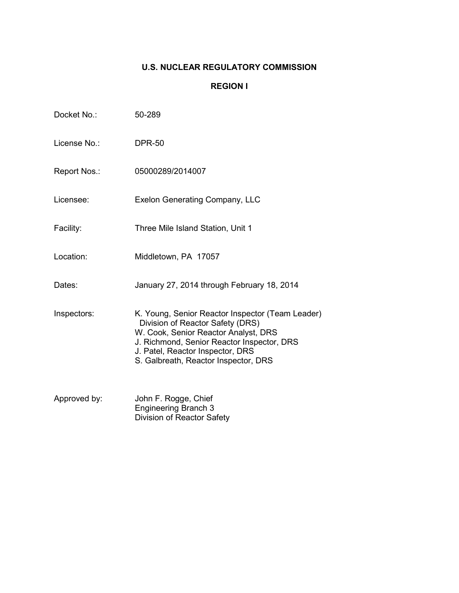# **U.S. NUCLEAR REGULATORY COMMISSION**

# **REGION I**

| Docket No.:  | 50-289                                                                                                                                                                                                                                                 |
|--------------|--------------------------------------------------------------------------------------------------------------------------------------------------------------------------------------------------------------------------------------------------------|
| License No.: | <b>DPR-50</b>                                                                                                                                                                                                                                          |
| Report Nos.: | 05000289/2014007                                                                                                                                                                                                                                       |
| Licensee:    | <b>Exelon Generating Company, LLC</b>                                                                                                                                                                                                                  |
| Facility:    | Three Mile Island Station, Unit 1                                                                                                                                                                                                                      |
| Location:    | Middletown, PA 17057                                                                                                                                                                                                                                   |
| Dates:       | January 27, 2014 through February 18, 2014                                                                                                                                                                                                             |
| Inspectors:  | K. Young, Senior Reactor Inspector (Team Leader)<br>Division of Reactor Safety (DRS)<br>W. Cook, Senior Reactor Analyst, DRS<br>J. Richmond, Senior Reactor Inspector, DRS<br>J. Patel, Reactor Inspector, DRS<br>S. Galbreath, Reactor Inspector, DRS |
| Approved by: | John F. Rogge, Chief<br><b>Engineering Branch 3</b><br>Division of Reactor Safety                                                                                                                                                                      |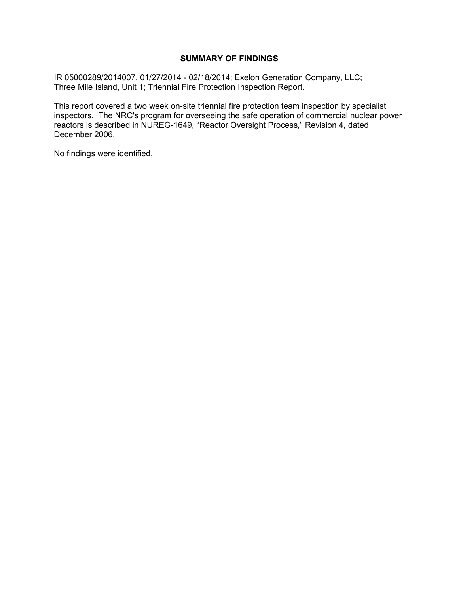## **SUMMARY OF FINDINGS**

IR 05000289/2014007, 01/27/2014 - 02/18/2014; Exelon Generation Company, LLC; Three Mile Island, Unit 1; Triennial Fire Protection Inspection Report.

This report covered a two week on-site triennial fire protection team inspection by specialist inspectors. The NRC's program for overseeing the safe operation of commercial nuclear power reactors is described in NUREG-1649, "Reactor Oversight Process," Revision 4, dated December 2006.

No findings were identified.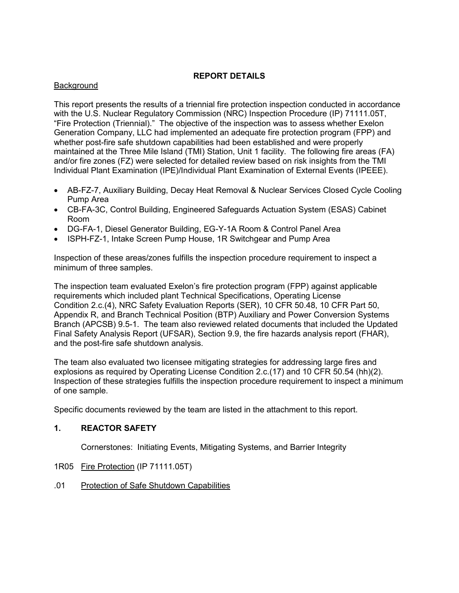# **REPORT DETAILS**

# Background

This report presents the results of a triennial fire protection inspection conducted in accordance with the U.S. Nuclear Regulatory Commission (NRC) Inspection Procedure (IP) 71111.05T, "Fire Protection (Triennial)." The objective of the inspection was to assess whether Exelon Generation Company, LLC had implemented an adequate fire protection program (FPP) and whether post-fire safe shutdown capabilities had been established and were properly maintained at the Three Mile Island (TMI) Station, Unit 1 facility. The following fire areas (FA) and/or fire zones (FZ) were selected for detailed review based on risk insights from the TMI Individual Plant Examination (IPE)/Individual Plant Examination of External Events (IPEEE).

- AB-FZ-7, Auxiliary Building, Decay Heat Removal & Nuclear Services Closed Cycle Cooling Pump Area
- CB-FA-3C, Control Building, Engineered Safeguards Actuation System (ESAS) Cabinet Room
- DG-FA-1, Diesel Generator Building, EG-Y-1A Room & Control Panel Area
- ISPH-FZ-1, Intake Screen Pump House, 1R Switchgear and Pump Area

Inspection of these areas/zones fulfills the inspection procedure requirement to inspect a minimum of three samples.

The inspection team evaluated Exelon's fire protection program (FPP) against applicable requirements which included plant Technical Specifications, Operating License Condition 2.c.(4), NRC Safety Evaluation Reports (SER), 10 CFR 50.48, 10 CFR Part 50, Appendix R, and Branch Technical Position (BTP) Auxiliary and Power Conversion Systems Branch (APCSB) 9.5-1. The team also reviewed related documents that included the Updated Final Safety Analysis Report (UFSAR), Section 9.9, the fire hazards analysis report (FHAR), and the post-fire safe shutdown analysis.

The team also evaluated two licensee mitigating strategies for addressing large fires and explosions as required by Operating License Condition 2.c.(17) and 10 CFR 50.54 (hh)(2). Inspection of these strategies fulfills the inspection procedure requirement to inspect a minimum of one sample.

Specific documents reviewed by the team are listed in the attachment to this report.

# **1. REACTOR SAFETY**

Cornerstones: Initiating Events, Mitigating Systems, and Barrier Integrity

- 1R05 Fire Protection (IP 71111.05T)
- .01 Protection of Safe Shutdown Capabilities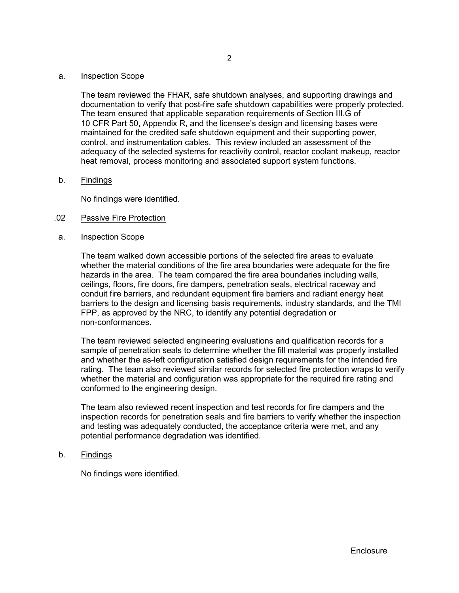#### a. Inspection Scope

The team reviewed the FHAR, safe shutdown analyses, and supporting drawings and documentation to verify that post-fire safe shutdown capabilities were properly protected. The team ensured that applicable separation requirements of Section III.G of 10 CFR Part 50, Appendix R, and the licensee's design and licensing bases were maintained for the credited safe shutdown equipment and their supporting power, control, and instrumentation cables. This review included an assessment of the adequacy of the selected systems for reactivity control, reactor coolant makeup, reactor heat removal, process monitoring and associated support system functions.

### b. Findings

No findings were identified.

### .02 Passive Fire Protection

a. Inspection Scope

The team walked down accessible portions of the selected fire areas to evaluate whether the material conditions of the fire area boundaries were adequate for the fire hazards in the area. The team compared the fire area boundaries including walls, ceilings, floors, fire doors, fire dampers, penetration seals, electrical raceway and conduit fire barriers, and redundant equipment fire barriers and radiant energy heat barriers to the design and licensing basis requirements, industry standards, and the TMI FPP, as approved by the NRC, to identify any potential degradation or non-conformances.

The team reviewed selected engineering evaluations and qualification records for a sample of penetration seals to determine whether the fill material was properly installed and whether the as-left configuration satisfied design requirements for the intended fire rating. The team also reviewed similar records for selected fire protection wraps to verify whether the material and configuration was appropriate for the required fire rating and conformed to the engineering design.

The team also reviewed recent inspection and test records for fire dampers and the inspection records for penetration seals and fire barriers to verify whether the inspection and testing was adequately conducted, the acceptance criteria were met, and any potential performance degradation was identified.

b. Findings

No findings were identified.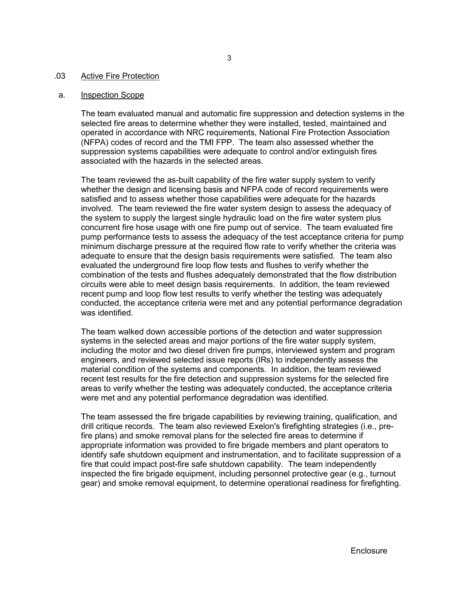#### .03 Active Fire Protection

#### a. Inspection Scope

The team evaluated manual and automatic fire suppression and detection systems in the selected fire areas to determine whether they were installed, tested, maintained and operated in accordance with NRC requirements, National Fire Protection Association (NFPA) codes of record and the TMI FPP. The team also assessed whether the suppression systems capabilities were adequate to control and/or extinguish fires associated with the hazards in the selected areas.

The team reviewed the as-built capability of the fire water supply system to verify whether the design and licensing basis and NFPA code of record requirements were satisfied and to assess whether those capabilities were adequate for the hazards involved. The team reviewed the fire water system design to assess the adequacy of the system to supply the largest single hydraulic load on the fire water system plus concurrent fire hose usage with one fire pump out of service. The team evaluated fire pump performance tests to assess the adequacy of the test acceptance criteria for pump minimum discharge pressure at the required flow rate to verify whether the criteria was adequate to ensure that the design basis requirements were satisfied. The team also evaluated the underground fire loop flow tests and flushes to verify whether the combination of the tests and flushes adequately demonstrated that the flow distribution circuits were able to meet design basis requirements. In addition, the team reviewed recent pump and loop flow test results to verify whether the testing was adequately conducted, the acceptance criteria were met and any potential performance degradation was identified.

The team walked down accessible portions of the detection and water suppression systems in the selected areas and major portions of the fire water supply system, including the motor and two diesel driven fire pumps, interviewed system and program engineers, and reviewed selected issue reports (IRs) to independently assess the material condition of the systems and components. In addition, the team reviewed recent test results for the fire detection and suppression systems for the selected fire areas to verify whether the testing was adequately conducted, the acceptance criteria were met and any potential performance degradation was identified.

The team assessed the fire brigade capabilities by reviewing training, qualification, and drill critique records. The team also reviewed Exelon's firefighting strategies (i.e., prefire plans) and smoke removal plans for the selected fire areas to determine if appropriate information was provided to fire brigade members and plant operators to identify safe shutdown equipment and instrumentation, and to facilitate suppression of a fire that could impact post-fire safe shutdown capability. The team independently inspected the fire brigade equipment, including personnel protective gear (e.g., turnout gear) and smoke removal equipment, to determine operational readiness for firefighting.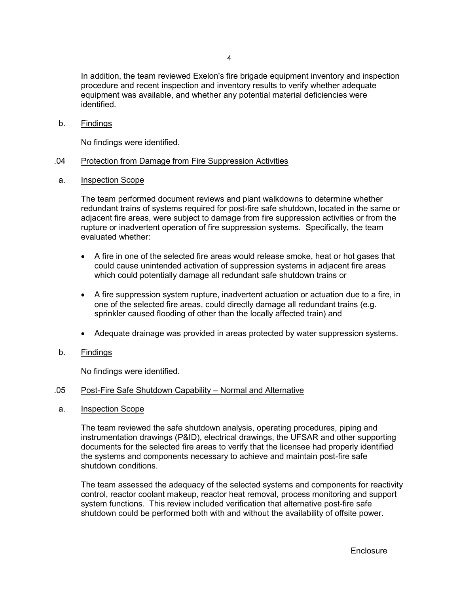In addition, the team reviewed Exelon's fire brigade equipment inventory and inspection procedure and recent inspection and inventory results to verify whether adequate equipment was available, and whether any potential material deficiencies were identified.

b. Findings

No findings were identified.

## .04 Protection from Damage from Fire Suppression Activities

a. Inspection Scope

The team performed document reviews and plant walkdowns to determine whether redundant trains of systems required for post-fire safe shutdown, located in the same or adjacent fire areas, were subject to damage from fire suppression activities or from the rupture or inadvertent operation of fire suppression systems. Specifically, the team evaluated whether:

- A fire in one of the selected fire areas would release smoke, heat or hot gases that could cause unintended activation of suppression systems in adjacent fire areas which could potentially damage all redundant safe shutdown trains or
- A fire suppression system rupture, inadvertent actuation or actuation due to a fire, in one of the selected fire areas, could directly damage all redundant trains (e.g. sprinkler caused flooding of other than the locally affected train) and
- Adequate drainage was provided in areas protected by water suppression systems.
- b. Findings

No findings were identified.

### .05 Post-Fire Safe Shutdown Capability – Normal and Alternative

a. Inspection Scope

The team reviewed the safe shutdown analysis, operating procedures, piping and instrumentation drawings (P&ID), electrical drawings, the UFSAR and other supporting documents for the selected fire areas to verify that the licensee had properly identified the systems and components necessary to achieve and maintain post-fire safe shutdown conditions.

The team assessed the adequacy of the selected systems and components for reactivity control, reactor coolant makeup, reactor heat removal, process monitoring and support system functions. This review included verification that alternative post-fire safe shutdown could be performed both with and without the availability of offsite power.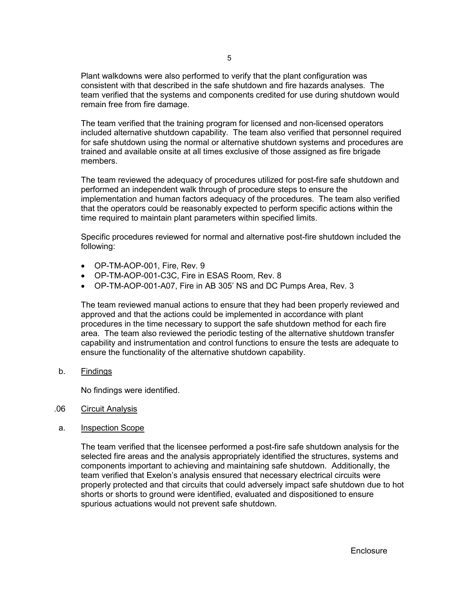Plant walkdowns were also performed to verify that the plant configuration was consistent with that described in the safe shutdown and fire hazards analyses. The team verified that the systems and components credited for use during shutdown would remain free from fire damage.

The team verified that the training program for licensed and non-licensed operators included alternative shutdown capability. The team also verified that personnel required for safe shutdown using the normal or alternative shutdown systems and procedures are trained and available onsite at all times exclusive of those assigned as fire brigade members.

The team reviewed the adequacy of procedures utilized for post-fire safe shutdown and performed an independent walk through of procedure steps to ensure the implementation and human factors adequacy of the procedures. The team also verified that the operators could be reasonably expected to perform specific actions within the time required to maintain plant parameters within specified limits.

Specific procedures reviewed for normal and alternative post-fire shutdown included the following:

- OP-TM-AOP-001, Fire, Rev. 9
- OP-TM-AOP-001-C3C, Fire in ESAS Room, Rev. 8
- OP-TM-AOP-001-A07, Fire in AB 305' NS and DC Pumps Area, Rev. 3

The team reviewed manual actions to ensure that they had been properly reviewed and approved and that the actions could be implemented in accordance with plant procedures in the time necessary to support the safe shutdown method for each fire area. The team also reviewed the periodic testing of the alternative shutdown transfer capability and instrumentation and control functions to ensure the tests are adequate to ensure the functionality of the alternative shutdown capability.

b. Findings

No findings were identified.

- .06 Circuit Analysis
- a. Inspection Scope

The team verified that the licensee performed a post-fire safe shutdown analysis for the selected fire areas and the analysis appropriately identified the structures, systems and components important to achieving and maintaining safe shutdown. Additionally, the team verified that Exelon's analysis ensured that necessary electrical circuits were properly protected and that circuits that could adversely impact safe shutdown due to hot shorts or shorts to ground were identified, evaluated and dispositioned to ensure spurious actuations would not prevent safe shutdown.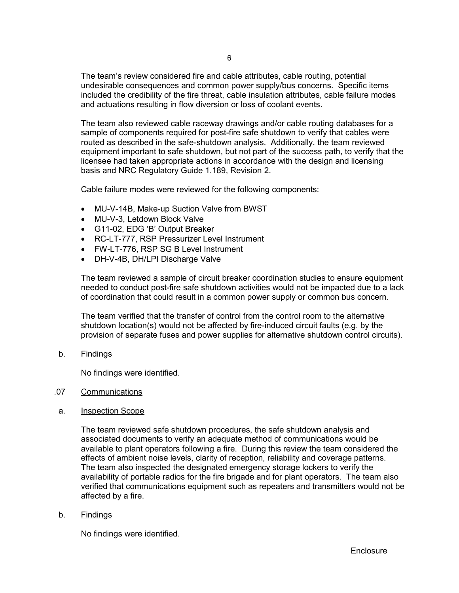The team's review considered fire and cable attributes, cable routing, potential undesirable consequences and common power supply/bus concerns. Specific items included the credibility of the fire threat, cable insulation attributes, cable failure modes and actuations resulting in flow diversion or loss of coolant events.

The team also reviewed cable raceway drawings and/or cable routing databases for a sample of components required for post-fire safe shutdown to verify that cables were routed as described in the safe-shutdown analysis. Additionally, the team reviewed equipment important to safe shutdown, but not part of the success path, to verify that the licensee had taken appropriate actions in accordance with the design and licensing basis and NRC Regulatory Guide 1.189, Revision 2.

Cable failure modes were reviewed for the following components:

- MU-V-14B, Make-up Suction Valve from BWST
- MU-V-3, Letdown Block Valve
- G11-02, EDG 'B' Output Breaker
- RC-LT-777, RSP Pressurizer Level Instrument
- FW-LT-776, RSP SG B Level Instrument
- DH-V-4B, DH/LPI Discharge Valve

The team reviewed a sample of circuit breaker coordination studies to ensure equipment needed to conduct post-fire safe shutdown activities would not be impacted due to a lack of coordination that could result in a common power supply or common bus concern.

The team verified that the transfer of control from the control room to the alternative shutdown location(s) would not be affected by fire-induced circuit faults (e.g. by the provision of separate fuses and power supplies for alternative shutdown control circuits).

b. Findings

No findings were identified.

### .07 Communications

a. Inspection Scope

The team reviewed safe shutdown procedures, the safe shutdown analysis and associated documents to verify an adequate method of communications would be available to plant operators following a fire. During this review the team considered the effects of ambient noise levels, clarity of reception, reliability and coverage patterns. The team also inspected the designated emergency storage lockers to verify the availability of portable radios for the fire brigade and for plant operators. The team also verified that communications equipment such as repeaters and transmitters would not be affected by a fire.

b. Findings

No findings were identified.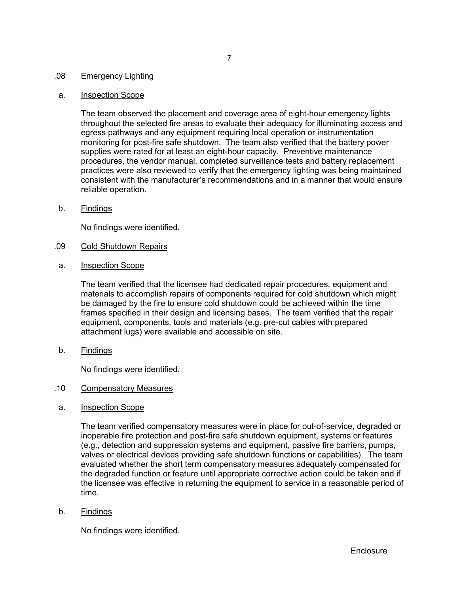#### .08 Emergency Lighting

#### a. Inspection Scope

The team observed the placement and coverage area of eight-hour emergency lights throughout the selected fire areas to evaluate their adequacy for illuminating access and egress pathways and any equipment requiring local operation or instrumentation monitoring for post-fire safe shutdown. The team also verified that the battery power supplies were rated for at least an eight-hour capacity. Preventive maintenance procedures, the vendor manual, completed surveillance tests and battery replacement practices were also reviewed to verify that the emergency lighting was being maintained consistent with the manufacturer's recommendations and in a manner that would ensure reliable operation.

b. Findings

No findings were identified.

- .09 Cold Shutdown Repairs
- a. Inspection Scope

The team verified that the licensee had dedicated repair procedures, equipment and materials to accomplish repairs of components required for cold shutdown which might be damaged by the fire to ensure cold shutdown could be achieved within the time frames specified in their design and licensing bases. The team verified that the repair equipment, components, tools and materials (e.g. pre-cut cables with prepared attachment lugs) were available and accessible on site.

b. Findings

No findings were identified.

#### .10 Compensatory Measures

a. Inspection Scope

The team verified compensatory measures were in place for out-of-service, degraded or inoperable fire protection and post-fire safe shutdown equipment, systems or features (e.g., detection and suppression systems and equipment, passive fire barriers, pumps, valves or electrical devices providing safe shutdown functions or capabilities). The team evaluated whether the short term compensatory measures adequately compensated for the degraded function or feature until appropriate corrective action could be taken and if the licensee was effective in returning the equipment to service in a reasonable period of time.

b. Findings

No findings were identified.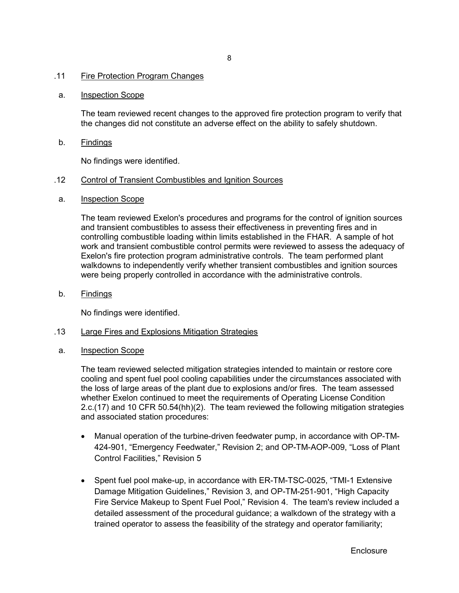#### .11 Fire Protection Program Changes

#### a. Inspection Scope

The team reviewed recent changes to the approved fire protection program to verify that the changes did not constitute an adverse effect on the ability to safely shutdown.

b. Findings

No findings were identified.

#### .12 Control of Transient Combustibles and Ignition Sources

a. Inspection Scope

The team reviewed Exelon's procedures and programs for the control of ignition sources and transient combustibles to assess their effectiveness in preventing fires and in controlling combustible loading within limits established in the FHAR. A sample of hot work and transient combustible control permits were reviewed to assess the adequacy of Exelon's fire protection program administrative controls. The team performed plant walkdowns to independently verify whether transient combustibles and ignition sources were being properly controlled in accordance with the administrative controls.

b. Findings

No findings were identified.

- .13 Large Fires and Explosions Mitigation Strategies
- a. Inspection Scope

The team reviewed selected mitigation strategies intended to maintain or restore core cooling and spent fuel pool cooling capabilities under the circumstances associated with the loss of large areas of the plant due to explosions and/or fires. The team assessed whether Exelon continued to meet the requirements of Operating License Condition 2.c.(17) and 10 CFR 50.54(hh)(2). The team reviewed the following mitigation strategies and associated station procedures:

- Manual operation of the turbine-driven feedwater pump, in accordance with OP-TM-424-901, "Emergency Feedwater," Revision 2; and OP-TM-AOP-009, "Loss of Plant Control Facilities," Revision 5
- Spent fuel pool make-up, in accordance with ER-TM-TSC-0025, "TMI-1 Extensive Damage Mitigation Guidelines," Revision 3, and OP-TM-251-901, "High Capacity Fire Service Makeup to Spent Fuel Pool," Revision 4. The team's review included a detailed assessment of the procedural guidance; a walkdown of the strategy with a trained operator to assess the feasibility of the strategy and operator familiarity;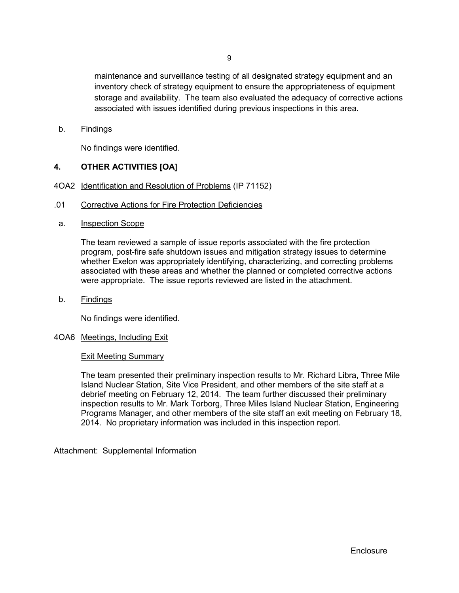maintenance and surveillance testing of all designated strategy equipment and an inventory check of strategy equipment to ensure the appropriateness of equipment storage and availability. The team also evaluated the adequacy of corrective actions associated with issues identified during previous inspections in this area.

b. Findings

No findings were identified.

## **4. OTHER ACTIVITIES [OA]**

- 4OA2 Identification and Resolution of Problems (IP 71152)
- .01 Corrective Actions for Fire Protection Deficiencies
- a. Inspection Scope

The team reviewed a sample of issue reports associated with the fire protection program, post-fire safe shutdown issues and mitigation strategy issues to determine whether Exelon was appropriately identifying, characterizing, and correcting problems associated with these areas and whether the planned or completed corrective actions were appropriate. The issue reports reviewed are listed in the attachment.

b. Findings

No findings were identified.

### 4OA6 Meetings, Including Exit

#### Exit Meeting Summary

The team presented their preliminary inspection results to Mr. Richard Libra, Three Mile Island Nuclear Station, Site Vice President, and other members of the site staff at a debrief meeting on February 12, 2014. The team further discussed their preliminary inspection results to Mr. Mark Torborg, Three Miles Island Nuclear Station, Engineering Programs Manager, and other members of the site staff an exit meeting on February 18, 2014. No proprietary information was included in this inspection report.

Attachment: Supplemental Information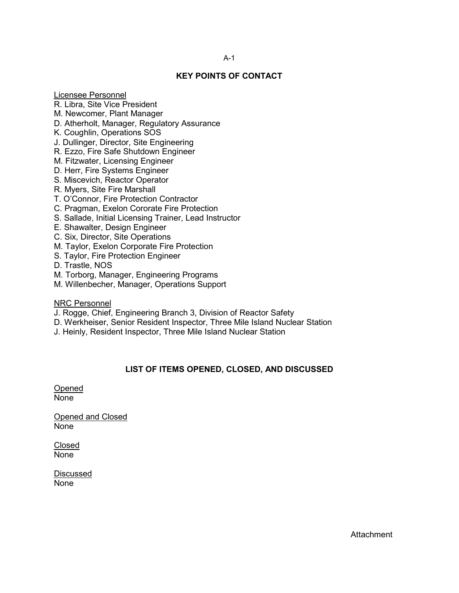# **KEY POINTS OF CONTACT**

Licensee Personnel

- R. Libra, Site Vice President
- M. Newcomer, Plant Manager
- D. Atherholt, Manager, Regulatory Assurance
- K. Coughlin, Operations SOS
- J. Dullinger, Director, Site Engineering
- R. Ezzo, Fire Safe Shutdown Engineer
- M. Fitzwater, Licensing Engineer
- D. Herr, Fire Systems Engineer
- S. Miscevich, Reactor Operator
- R. Myers, Site Fire Marshall
- T. O'Connor, Fire Protection Contractor
- C. Pragman, Exelon Cororate Fire Protection
- S. Sallade, Initial Licensing Trainer, Lead Instructor
- E. Shawalter, Design Engineer
- C. Six, Director, Site Operations
- M. Taylor, Exelon Corporate Fire Protection
- S. Taylor, Fire Protection Engineer
- D. Trastle, NOS
- M. Torborg, Manager, Engineering Programs
- M. Willenbecher, Manager, Operations Support

NRC Personnel

- J. Rogge, Chief, Engineering Branch 3, Division of Reactor Safety
- D. Werkheiser, Senior Resident Inspector, Three Mile Island Nuclear Station
- J. Heinly, Resident Inspector, Three Mile Island Nuclear Station

# **LIST OF ITEMS OPENED, CLOSED, AND DISCUSSED**

Opened None

Opened and Closed None

Closed None

Discussed None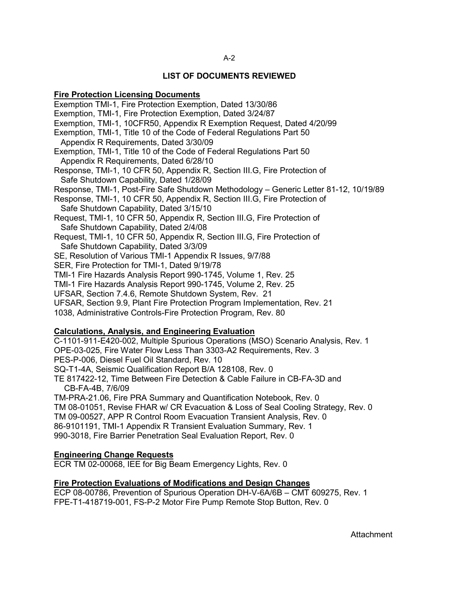#### A-2

#### **LIST OF DOCUMENTS REVIEWED**

#### **Fire Protection Licensing Documents**

Exemption TMI-1, Fire Protection Exemption, Dated 13/30/86 Exemption, TMI-1, Fire Protection Exemption, Dated 3/24/87 Exemption, TMI-1, 10CFR50, Appendix R Exemption Request, Dated 4/20/99 Exemption, TMI-1, Title 10 of the Code of Federal Regulations Part 50 Appendix R Requirements, Dated 3/30/09 Exemption, TMI-1, Title 10 of the Code of Federal Regulations Part 50 Appendix R Requirements, Dated 6/28/10 Response, TMI-1, 10 CFR 50, Appendix R, Section III.G, Fire Protection of Safe Shutdown Capability, Dated 1/28/09 Response, TMI-1, Post-Fire Safe Shutdown Methodology – Generic Letter 81-12, 10/19/89 Response, TMI-1, 10 CFR 50, Appendix R, Section III.G, Fire Protection of Safe Shutdown Capability, Dated 3/15/10 Request, TMI-1, 10 CFR 50, Appendix R, Section III.G, Fire Protection of Safe Shutdown Capability, Dated 2/4/08 Request, TMI-1, 10 CFR 50, Appendix R, Section III.G, Fire Protection of Safe Shutdown Capability, Dated 3/3/09 SE, Resolution of Various TMI-1 Appendix R Issues, 9/7/88 SER, Fire Protection for TMI-1, Dated 9/19/78 TMI-1 Fire Hazards Analysis Report 990-1745, Volume 1, Rev. 25 TMI-1 Fire Hazards Analysis Report 990-1745, Volume 2, Rev. 25 UFSAR, Section 7.4.6, Remote Shutdown System, Rev. 21 UFSAR, Section 9.9, Plant Fire Protection Program Implementation, Rev. 21 1038, Administrative Controls-Fire Protection Program, Rev. 80

# **Calculations, Analysis, and Engineering Evaluation**

C-1101-911-E420-002, Multiple Spurious Operations (MSO) Scenario Analysis, Rev. 1 OPE-03-025, Fire Water Flow Less Than 3303-A2 Requirements, Rev. 3 PES-P-006, Diesel Fuel Oil Standard, Rev. 10 SQ-T1-4A, Seismic Qualification Report B/A 128108, Rev. 0 TE 817422-12, Time Between Fire Detection & Cable Failure in CB-FA-3D and CB-FA-4B, 7/6/09 TM-PRA-21.06, Fire PRA Summary and Quantification Notebook, Rev. 0 TM 08-01051, Revise FHAR w/ CR Evacuation & Loss of Seal Cooling Strategy, Rev. 0 TM 09-00527, APP R Control Room Evacuation Transient Analysis, Rev. 0 86-9101191, TMI-1 Appendix R Transient Evaluation Summary, Rev. 1

990-3018, Fire Barrier Penetration Seal Evaluation Report, Rev. 0

#### **Engineering Change Requests**

ECR TM 02-00068, IEE for Big Beam Emergency Lights, Rev. 0

#### **Fire Protection Evaluations of Modifications and Design Changes**

ECP 08-00786, Prevention of Spurious Operation DH-V-6A/6B – CMT 609275, Rev. 1 FPE-T1-418719-001, FS-P-2 Motor Fire Pump Remote Stop Button, Rev. 0

**Attachment**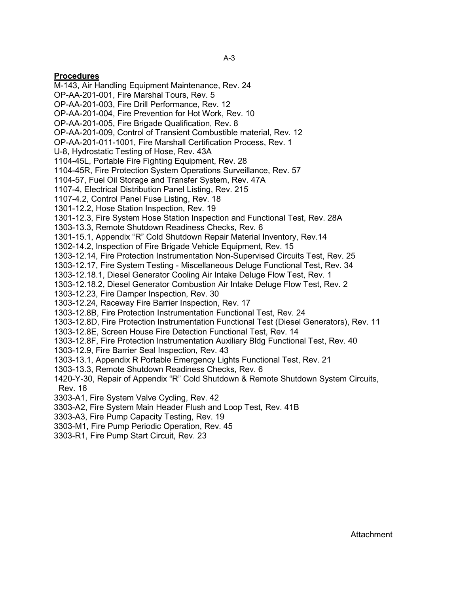### **Procedures**

M-143, Air Handling Equipment Maintenance, Rev. 24 OP-AA-201-001, Fire Marshal Tours, Rev. 5 OP-AA-201-003, Fire Drill Performance, Rev. 12 OP-AA-201-004, Fire Prevention for Hot Work, Rev. 10 OP-AA-201-005, Fire Brigade Qualification, Rev. 8 OP-AA-201-009, Control of Transient Combustible material, Rev. 12 OP-AA-201-011-1001, Fire Marshall Certification Process, Rev. 1 U-8, Hydrostatic Testing of Hose, Rev. 43A 1104-45L, Portable Fire Fighting Equipment, Rev. 28 1104-45R, Fire Protection System Operations Surveillance, Rev. 57 1104-57, Fuel Oil Storage and Transfer System, Rev. 47A 1107-4, Electrical Distribution Panel Listing, Rev. 215 1107-4.2, Control Panel Fuse Listing, Rev. 18 1301-12.2, Hose Station Inspection, Rev. 19 1301-12.3, Fire System Hose Station Inspection and Functional Test, Rev. 28A 1303-13.3, Remote Shutdown Readiness Checks, Rev. 6 1301-15.1, Appendix "R" Cold Shutdown Repair Material Inventory, Rev.14 1302-14.2, Inspection of Fire Brigade Vehicle Equipment, Rev. 15 1303-12.14, Fire Protection Instrumentation Non-Supervised Circuits Test, Rev. 25 1303-12.17, Fire System Testing - Miscellaneous Deluge Functional Test, Rev. 34 1303-12.18.1, Diesel Generator Cooling Air Intake Deluge Flow Test, Rev. 1 1303-12.18.2, Diesel Generator Combustion Air Intake Deluge Flow Test, Rev. 2 1303-12.23, Fire Damper Inspection, Rev. 30 1303-12.24, Raceway Fire Barrier Inspection, Rev. 17 1303-12.8B, Fire Protection Instrumentation Functional Test, Rev. 24 1303-12.8D, Fire Protection Instrumentation Functional Test (Diesel Generators), Rev. 11 1303-12.8E, Screen House Fire Detection Functional Test, Rev. 14 1303-12.8F, Fire Protection Instrumentation Auxiliary Bldg Functional Test, Rev. 40 1303-12.9, Fire Barrier Seal Inspection, Rev. 43 1303-13.1, Appendix R Portable Emergency Lights Functional Test, Rev. 21 1303-13.3, Remote Shutdown Readiness Checks, Rev. 6 1420-Y-30, Repair of Appendix "R" Cold Shutdown & Remote Shutdown System Circuits, Rev. 16 3303-A1, Fire System Valve Cycling, Rev. 42 3303-A2, Fire System Main Header Flush and Loop Test, Rev. 41B

- 3303-A3, Fire Pump Capacity Testing, Rev. 19
- 3303-M1, Fire Pump Periodic Operation, Rev. 45
- 3303-R1, Fire Pump Start Circuit, Rev. 23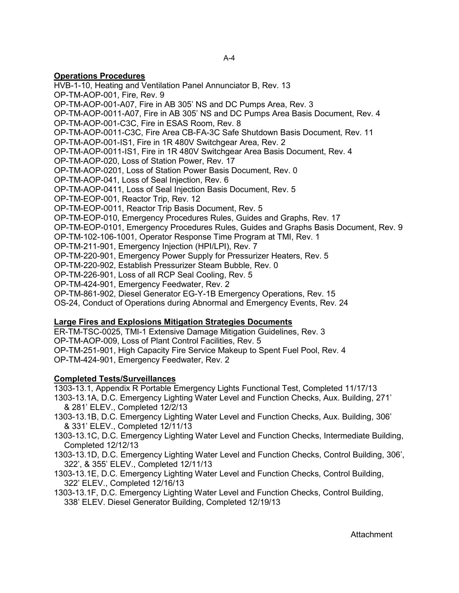### **Operations Procedures**

HVB-1-10, Heating and Ventilation Panel Annunciator B, Rev. 13 OP-TM-AOP-001, Fire, Rev. 9 OP-TM-AOP-001-A07, Fire in AB 305' NS and DC Pumps Area, Rev. 3 OP-TM-AOP-0011-A07, Fire in AB 305' NS and DC Pumps Area Basis Document, Rev. 4 OP-TM-AOP-001-C3C, Fire in ESAS Room, Rev. 8 OP-TM-AOP-0011-C3C, Fire Area CB-FA-3C Safe Shutdown Basis Document, Rev. 11 OP-TM-AOP-001-IS1, Fire in 1R 480V Switchgear Area, Rev. 2 OP-TM-AOP-0011-IS1, Fire in 1R 480V Switchgear Area Basis Document, Rev. 4 OP-TM-AOP-020, Loss of Station Power, Rev. 17 OP-TM-AOP-0201, Loss of Station Power Basis Document, Rev. 0 OP-TM-AOP-041, Loss of Seal Injection, Rev. 6 OP-TM-AOP-0411, Loss of Seal Injection Basis Document, Rev. 5 OP-TM-EOP-001, Reactor Trip, Rev. 12 OP-TM-EOP-0011, Reactor Trip Basis Document, Rev. 5 OP-TM-EOP-010, Emergency Procedures Rules, Guides and Graphs, Rev. 17 OP-TM-EOP-0101, Emergency Procedures Rules, Guides and Graphs Basis Document, Rev. 9 OP-TM-102-106-1001, Operator Response Time Program at TMI, Rev. 1 OP-TM-211-901, Emergency Injection (HPI/LPI), Rev. 7 OP-TM-220-901, Emergency Power Supply for Pressurizer Heaters, Rev. 5 OP-TM-220-902, Establish Pressurizer Steam Bubble, Rev. 0 OP-TM-226-901, Loss of all RCP Seal Cooling, Rev. 5 OP-TM-424-901, Emergency Feedwater, Rev. 2 OP-TM-861-902, Diesel Generator EG-Y-1B Emergency Operations, Rev. 15 OS-24, Conduct of Operations during Abnormal and Emergency Events, Rev. 24

# **Large Fires and Explosions Mitigation Strategies Documents**

ER-TM-TSC-0025, TMI-1 Extensive Damage Mitigation Guidelines, Rev. 3 OP-TM-AOP-009, Loss of Plant Control Facilities, Rev. 5 OP-TM-251-901, High Capacity Fire Service Makeup to Spent Fuel Pool, Rev. 4 OP-TM-424-901, Emergency Feedwater, Rev. 2

# **Completed Tests/Surveillances**

1303-13.1, Appendix R Portable Emergency Lights Functional Test, Completed 11/17/13

- 1303-13.1A, D.C. Emergency Lighting Water Level and Function Checks, Aux. Building, 271' & 281' ELEV., Completed 12/2/13
- 1303-13.1B, D.C. Emergency Lighting Water Level and Function Checks, Aux. Building, 306' & 331' ELEV., Completed 12/11/13
- 1303-13.1C, D.C. Emergency Lighting Water Level and Function Checks, Intermediate Building, Completed 12/12/13
- 1303-13.1D, D.C. Emergency Lighting Water Level and Function Checks, Control Building, 306', 322', & 355' ELEV., Completed 12/11/13
- 1303-13.1E, D.C. Emergency Lighting Water Level and Function Checks, Control Building, 322' ELEV., Completed 12/16/13
- 1303-13.1F, D.C. Emergency Lighting Water Level and Function Checks, Control Building, 338' ELEV. Diesel Generator Building, Completed 12/19/13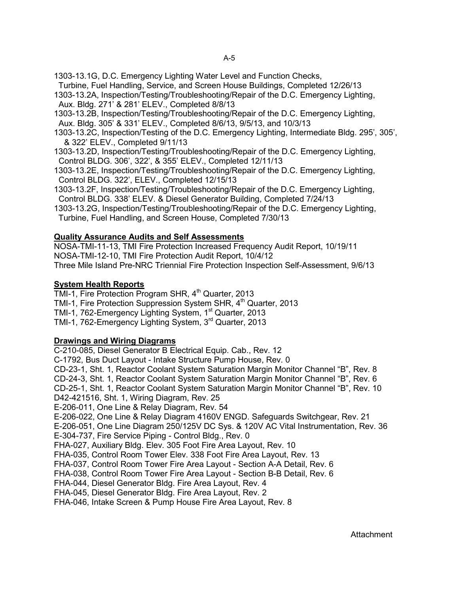1303-13.1G, D.C. Emergency Lighting Water Level and Function Checks,

- Turbine, Fuel Handling, Service, and Screen House Buildings, Completed 12/26/13
- 1303-13.2A, Inspection/Testing/Troubleshooting/Repair of the D.C. Emergency Lighting, Aux. Bldg. 271' & 281' ELEV., Completed 8/8/13
- 1303-13.2B, Inspection/Testing/Troubleshooting/Repair of the D.C. Emergency Lighting, Aux. Bldg. 305' & 331' ELEV., Completed 8/6/13, 9/5/13, and 10/3/13
- 1303-13.2C, Inspection/Testing of the D.C. Emergency Lighting, Intermediate Bldg. 295', 305', & 322' ELEV., Completed 9/11/13
- 1303-13.2D, Inspection/Testing/Troubleshooting/Repair of the D.C. Emergency Lighting, Control BLDG. 306', 322', & 355' ELEV., Completed 12/11/13
- 1303-13.2E, Inspection/Testing/Troubleshooting/Repair of the D.C. Emergency Lighting, Control BLDG. 322', ELEV., Completed 12/15/13
- 1303-13.2F, Inspection/Testing/Troubleshooting/Repair of the D.C. Emergency Lighting, Control BLDG. 338' ELEV. & Diesel Generator Building, Completed 7/24/13
- 1303-13.2G, Inspection/Testing/Troubleshooting/Repair of the D.C. Emergency Lighting, Turbine, Fuel Handling, and Screen House, Completed 7/30/13

### **Quality Assurance Audits and Self Assessments**

NOSA-TMI-11-13, TMI Fire Protection Increased Frequency Audit Report, 10/19/11 NOSA-TMI-12-10, TMI Fire Protection Audit Report, 10/4/12 Three Mile Island Pre-NRC Triennial Fire Protection Inspection Self-Assessment, 9/6/13

## **System Health Reports**

TMI-1, Fire Protection Program SHR, 4<sup>th</sup> Quarter, 2013 TMI-1, Fire Protection Suppression System SHR, 4<sup>th</sup> Quarter, 2013 TMI-1, 762-Emergency Lighting System, 1<sup>st</sup> Quarter, 2013 TMI-1, 762-Emergency Lighting System, 3rd Quarter, 2013

### **Drawings and Wiring Diagrams**

C-210-085, Diesel Generator B Electrical Equip. Cab., Rev. 12 C-1792, Bus Duct Layout - Intake Structure Pump House, Rev. 0 CD-23-1, Sht. 1, Reactor Coolant System Saturation Margin Monitor Channel "B", Rev. 8 CD-24-3, Sht. 1, Reactor Coolant System Saturation Margin Monitor Channel "B", Rev. 6 CD-25-1, Sht. 1, Reactor Coolant System Saturation Margin Monitor Channel "B", Rev. 10 D42-421516, Sht. 1, Wiring Diagram, Rev. 25 E-206-011, One Line & Relay Diagram, Rev. 54 E-206-022, One Line & Relay Diagram 4160V ENGD. Safeguards Switchgear, Rev. 21 E-206-051, One Line Diagram 250/125V DC Sys. & 120V AC Vital Instrumentation, Rev. 36 E-304-737, Fire Service Piping - Control Bldg., Rev. 0 FHA-027, Auxiliary Bldg. Elev. 305 Foot Fire Area Layout, Rev. 10 FHA-035, Control Room Tower Elev. 338 Foot Fire Area Layout, Rev. 13 FHA-037, Control Room Tower Fire Area Layout - Section A-A Detail, Rev. 6 FHA-038, Control Room Tower Fire Area Layout - Section B-B Detail, Rev. 6 FHA-044, Diesel Generator Bldg. Fire Area Layout, Rev. 4 FHA-045, Diesel Generator Bldg. Fire Area Layout, Rev. 2 FHA-046, Intake Screen & Pump House Fire Area Layout, Rev. 8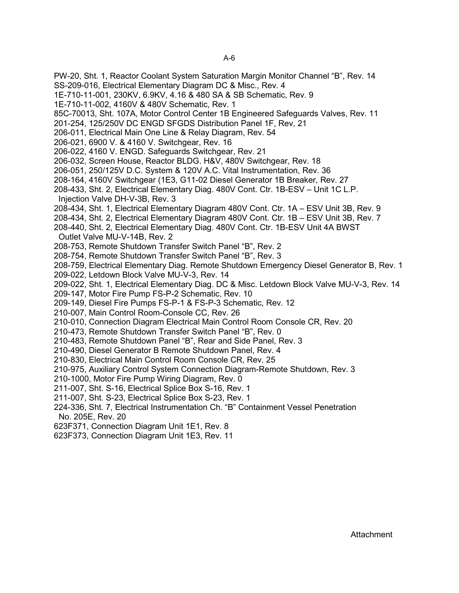PW-20, Sht. 1, Reactor Coolant System Saturation Margin Monitor Channel "B", Rev. 14 SS-209-016, Electrical Elementary Diagram DC & Misc., Rev. 4 1E-710-11-001, 230KV, 6.9KV, 4.16 & 480 SA & SB Schematic, Rev. 9 1E-710-11-002, 4160V & 480V Schematic, Rev. 1 85C-70013, Sht. 107A, Motor Control Center 1B Engineered Safeguards Valves, Rev. 11 201-254, 125/250V DC ENGD SFGDS Distribution Panel 1F, Rev, 21 206-011, Electrical Main One Line & Relay Diagram, Rev. 54 206-021, 6900 V. & 4160 V. Switchgear, Rev. 16 206-022, 4160 V. ENGD. Safeguards Switchgear, Rev. 21 206-032, Screen House, Reactor BLDG. H&V, 480V Switchgear, Rev. 18 206-051, 250/125V D.C. System & 120V A.C. Vital Instrumentation, Rev. 36 208-164, 4160V Switchgear (1E3, G11-02 Diesel Generator 1B Breaker, Rev. 27 208-433, Sht. 2, Electrical Elementary Diag. 480V Cont. Ctr. 1B-ESV – Unit 1C L.P. Injection Valve DH-V-3B, Rev. 3 208-434, Sht. 1, Electrical Elementary Diagram 480V Cont. Ctr. 1A – ESV Unit 3B, Rev. 9 208-434, Sht. 2, Electrical Elementary Diagram 480V Cont. Ctr. 1B – ESV Unit 3B, Rev. 7 208-440, Sht. 2, Electrical Elementary Diag. 480V Cont. Ctr. 1B-ESV Unit 4A BWST Outlet Valve MU-V-14B, Rev. 2 208-753, Remote Shutdown Transfer Switch Panel "B", Rev. 2 208-754, Remote Shutdown Transfer Switch Panel "B", Rev. 3 208-759, Electrical Elementary Diag. Remote Shutdown Emergency Diesel Generator B, Rev. 1 209-022, Letdown Block Valve MU-V-3, Rev. 14 209-022, Sht. 1, Electrical Elementary Diag. DC & Misc. Letdown Block Valve MU-V-3, Rev. 14 209-147, Motor Fire Pump FS-P-2 Schematic, Rev. 10 209-149, Diesel Fire Pumps FS-P-1 & FS-P-3 Schematic, Rev. 12 210-007, Main Control Room-Console CC, Rev. 26 210-010, Connection Diagram Electrical Main Control Room Console CR, Rev. 20 210-473, Remote Shutdown Transfer Switch Panel "B", Rev. 0 210-483, Remote Shutdown Panel "B", Rear and Side Panel, Rev. 3 210-490, Diesel Generator B Remote Shutdown Panel, Rev. 4 210-830, Electrical Main Control Room Console CR, Rev. 25 210-975, Auxiliary Control System Connection Diagram-Remote Shutdown, Rev. 3 210-1000, Motor Fire Pump Wiring Diagram, Rev. 0 211-007, Sht. S-16, Electrical Splice Box S-16, Rev. 1 211-007, Sht. S-23, Electrical Splice Box S-23, Rev. 1 224-336, Sht. 7, Electrical Instrumentation Ch. "B" Containment Vessel Penetration No. 205E, Rev. 20 623F371, Connection Diagram Unit 1E1, Rev. 8 623F373, Connection Diagram Unit 1E3, Rev. 11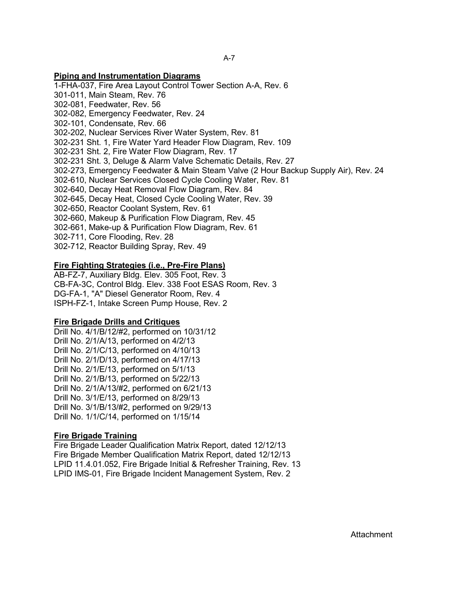#### **Piping and Instrumentation Diagrams**

1-FHA-037, Fire Area Layout Control Tower Section A-A, Rev. 6 301-011, Main Steam, Rev. 76 302-081, Feedwater, Rev. 56 302-082, Emergency Feedwater, Rev. 24 302-101, Condensate, Rev. 66 302-202, Nuclear Services River Water System, Rev. 81 302-231 Sht. 1, Fire Water Yard Header Flow Diagram, Rev. 109 302-231 Sht. 2, Fire Water Flow Diagram, Rev. 17 302-231 Sht. 3, Deluge & Alarm Valve Schematic Details, Rev. 27 302-273, Emergency Feedwater & Main Steam Valve (2 Hour Backup Supply Air), Rev. 24 302-610, Nuclear Services Closed Cycle Cooling Water, Rev. 81 302-640, Decay Heat Removal Flow Diagram, Rev. 84 302-645, Decay Heat, Closed Cycle Cooling Water, Rev. 39 302-650, Reactor Coolant System, Rev. 61 302-660, Makeup & Purification Flow Diagram, Rev. 45 302-661, Make-up & Purification Flow Diagram, Rev. 61 302-711, Core Flooding, Rev. 28 302-712, Reactor Building Spray, Rev. 49

#### **Fire Fighting Strategies (i.e., Pre-Fire Plans)**

AB-FZ-7, Auxiliary Bldg. Elev. 305 Foot, Rev. 3 CB-FA-3C, Control Bldg. Elev. 338 Foot ESAS Room, Rev. 3 DG-FA-1, "A" Diesel Generator Room, Rev. 4 ISPH-FZ-1, Intake Screen Pump House, Rev. 2

#### **Fire Brigade Drills and Critiques**

Drill No. 4/1/B/12/#2, performed on 10/31/12 Drill No. 2/1/A/13, performed on 4/2/13 Drill No. 2/1/C/13, performed on 4/10/13 Drill No. 2/1/D/13, performed on 4/17/13 Drill No. 2/1/E/13, performed on 5/1/13 Drill No. 2/1/B/13, performed on 5/22/13 Drill No. 2/1/A/13/#2, performed on 6/21/13 Drill No. 3/1/E/13, performed on 8/29/13 Drill No. 3/1/B/13/#2, performed on 9/29/13 Drill No. 1/1/C/14, performed on 1/15/14

### **Fire Brigade Training**

Fire Brigade Leader Qualification Matrix Report, dated 12/12/13 Fire Brigade Member Qualification Matrix Report, dated 12/12/13 LPID 11.4.01.052, Fire Brigade Initial & Refresher Training, Rev. 13 LPID IMS-01, Fire Brigade Incident Management System, Rev. 2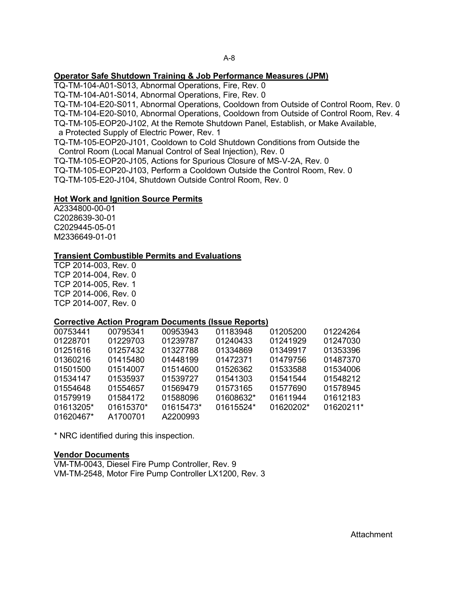#### **Operator Safe Shutdown Training & Job Performance Measures (JPM)**

TQ-TM-104-A01-S013, Abnormal Operations, Fire, Rev. 0

TQ-TM-104-A01-S014, Abnormal Operations, Fire, Rev. 0

TQ-TM-104-E20-S011, Abnormal Operations, Cooldown from Outside of Control Room, Rev. 0

TQ-TM-104-E20-S010, Abnormal Operations, Cooldown from Outside of Control Room, Rev. 4

TQ-TM-105-EOP20-J102, At the Remote Shutdown Panel, Establish, or Make Available,

a Protected Supply of Electric Power, Rev. 1

TQ-TM-105-EOP20-J101, Cooldown to Cold Shutdown Conditions from Outside the Control Room (Local Manual Control of Seal Injection), Rev. 0

TQ-TM-105-EOP20-J105, Actions for Spurious Closure of MS-V-2A, Rev. 0

TQ-TM-105-EOP20-J103, Perform a Cooldown Outside the Control Room, Rev. 0

TQ-TM-105-E20-J104, Shutdown Outside Control Room, Rev. 0

### **Hot Work and Ignition Source Permits**

A2334800-00-01 C2028639-30-01 C2029445-05-01 M2336649-01-01

### **Transient Combustible Permits and Evaluations**

TCP 2014-003, Rev. 0 TCP 2014-004, Rev. 0 TCP 2014-005, Rev. 1 TCP 2014-006, Rev. 0 TCP 2014-007, Rev. 0

### **Corrective Action Program Documents (Issue Reports)**

| 00753441  | 00795341  | 00953943  | 01183948  | 01205200  | 01224264  |
|-----------|-----------|-----------|-----------|-----------|-----------|
| 01228701  | 01229703  | 01239787  | 01240433  | 01241929  | 01247030  |
| 01251616  | 01257432  | 01327788  | 01334869  | 01349917  | 01353396  |
| 01360216  | 01415480  | 01448199  | 01472371  | 01479756  | 01487370  |
| 01501500  | 01514007  | 01514600  | 01526362  | 01533588  | 01534006  |
| 01534147  | 01535937  | 01539727  | 01541303  | 01541544  | 01548212  |
| 01554648  | 01554657  | 01569479  | 01573165  | 01577690  | 01578945  |
| 01579919  | 01584172  | 01588096  | 01608632* | 01611944  | 01612183  |
| 01613205* | 01615370* | 01615473* | 01615524* | 01620202* | 01620211* |
| 01620467* | A1700701  | A2200993  |           |           |           |

\* NRC identified during this inspection.

### **Vendor Documents**

VM-TM-0043, Diesel Fire Pump Controller, Rev. 9 VM-TM-2548, Motor Fire Pump Controller LX1200, Rev. 3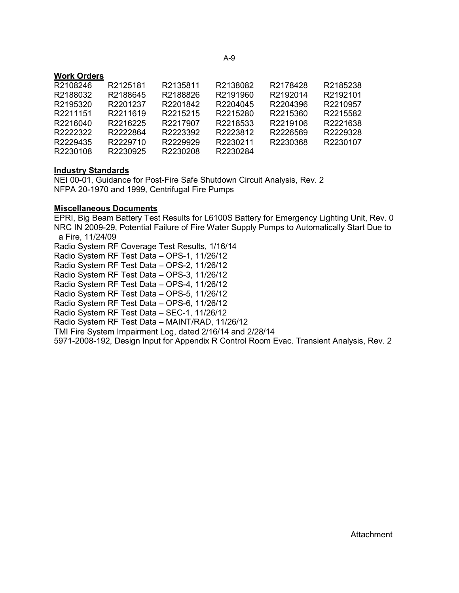# **Work Orders**

| R2108246 | R2125181 | R2135811 | R2138082 | R2178428 | R2185238 |
|----------|----------|----------|----------|----------|----------|
| R2188032 | R2188645 | R2188826 | R2191960 | R2192014 | R2192101 |
| R2195320 | R2201237 | R2201842 | R2204045 | R2204396 | R2210957 |
| R2211151 | R2211619 | R2215215 | R2215280 | R2215360 | R2215582 |
| R2216040 | R2216225 | R2217907 | R2218533 | R2219106 | R2221638 |
| R2222322 | R2222864 | R2223392 | R2223812 | R2226569 | R2229328 |
| R2229435 | R2229710 | R2229929 | R2230211 | R2230368 | R2230107 |
| R2230108 | R2230925 | R2230208 | R2230284 |          |          |
|          |          |          |          |          |          |

#### **Industry Standards**

NEI 00-01, Guidance for Post-Fire Safe Shutdown Circuit Analysis, Rev. 2 NFPA 20-1970 and 1999, Centrifugal Fire Pumps

#### **Miscellaneous Documents**

EPRI, Big Beam Battery Test Results for L6100S Battery for Emergency Lighting Unit, Rev. 0 NRC IN 2009-29, Potential Failure of Fire Water Supply Pumps to Automatically Start Due to a Fire, 11/24/09 Radio System RF Coverage Test Results, 1/16/14 Radio System RF Test Data – OPS-1, 11/26/12 Radio System RF Test Data – OPS-2, 11/26/12 Radio System RF Test Data – OPS-3, 11/26/12 Radio System RF Test Data – OPS-4, 11/26/12 Radio System RF Test Data – OPS-5, 11/26/12 Radio System RF Test Data – OPS-6, 11/26/12 Radio System RF Test Data – SEC-1, 11/26/12 Radio System RF Test Data – MAINT/RAD, 11/26/12 TMI Fire System Impairment Log, dated 2/16/14 and 2/28/14 5971-2008-192, Design Input for Appendix R Control Room Evac. Transient Analysis, Rev. 2